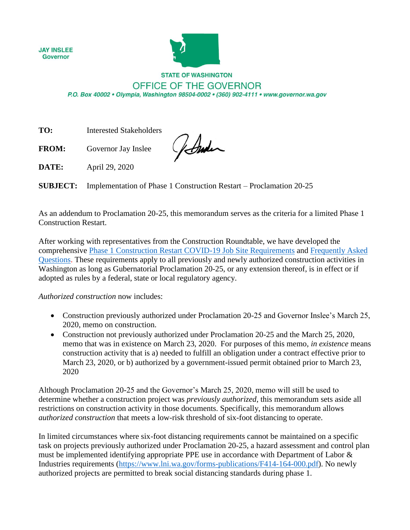**JAY INSLEE Governor** 



## **STATE OF WASHINGTON** OFFICE OF THE GOVERNOR

P.O. Box 40002 · Olympia, Washington 98504-0002 · (360) 902-4111 · www.governor.wa.gov

**TO:** Interested Stakeholders

**FROM:** Governor Jay Inslee

Jonder

**DATE:** April 29, 2020

**SUBJECT:** Implementation of Phase 1 Construction Restart – Proclamation 20-25

As an addendum to Proclamation 20-25, this memorandum serves as the criteria for a limited Phase 1 Construction Restart.

After working with representatives from the Construction Roundtable, we have developed the comprehensive [Phase 1 Construction Restart COVID-19 Job Site Requirements](https://www.governor.wa.gov/sites/default/files/Phase%201%20Construction%20COVID-19%20Safety%20Requirements%20%28final%29.pdf?utm_medium=email&utm_source=govdelivery) and [Frequently Asked](https://www.governor.wa.gov/sites/default/files/proclamations/FAQs%20on%20the%20Governor%27s%20Construction%20Memo%20final.pdf)  [Questions.](https://www.governor.wa.gov/sites/default/files/proclamations/FAQs%20on%20the%20Governor%27s%20Construction%20Memo%20final.pdf) These requirements apply to all previously and newly authorized construction activities in Washington as long as Gubernatorial Proclamation 20-25, or any extension thereof, is in effect or if adopted as rules by a federal, state or local regulatory agency.

*Authorized construction* now includes:

- Construction previously authorized under Proclamation 20-25 and Governor Inslee's March 25, 2020, memo on construction.
- Construction not previously authorized under Proclamation 20-25 and the March 25, 2020, memo that was in existence on March 23, 2020. For purposes of this memo, *in existence* means construction activity that is a) needed to fulfill an obligation under a contract effective prior to March 23, 2020, or b) authorized by a government-issued permit obtained prior to March 23, 2020

Although Proclamation 20-25 and the Governor's March 25, 2020, memo will still be used to determine whether a construction project was *previously authorized*, this memorandum sets aside all restrictions on construction activity in those documents. Specifically, this memorandum allows *authorized construction* that meets a low-risk threshold of six-foot distancing to operate.

In limited circumstances where six-foot distancing requirements cannot be maintained on a specific task on projects previously authorized under Proclamation 20-25, a hazard assessment and control plan must be implemented identifying appropriate PPE use in accordance with Department of Labor & Industries requirements [\(https://www.lni.wa.gov/forms-publications/F414-164-000.pdf\)](https://www.lni.wa.gov/forms-publications/F414-164-000.pdf). No newly authorized projects are permitted to break social distancing standards during phase 1.